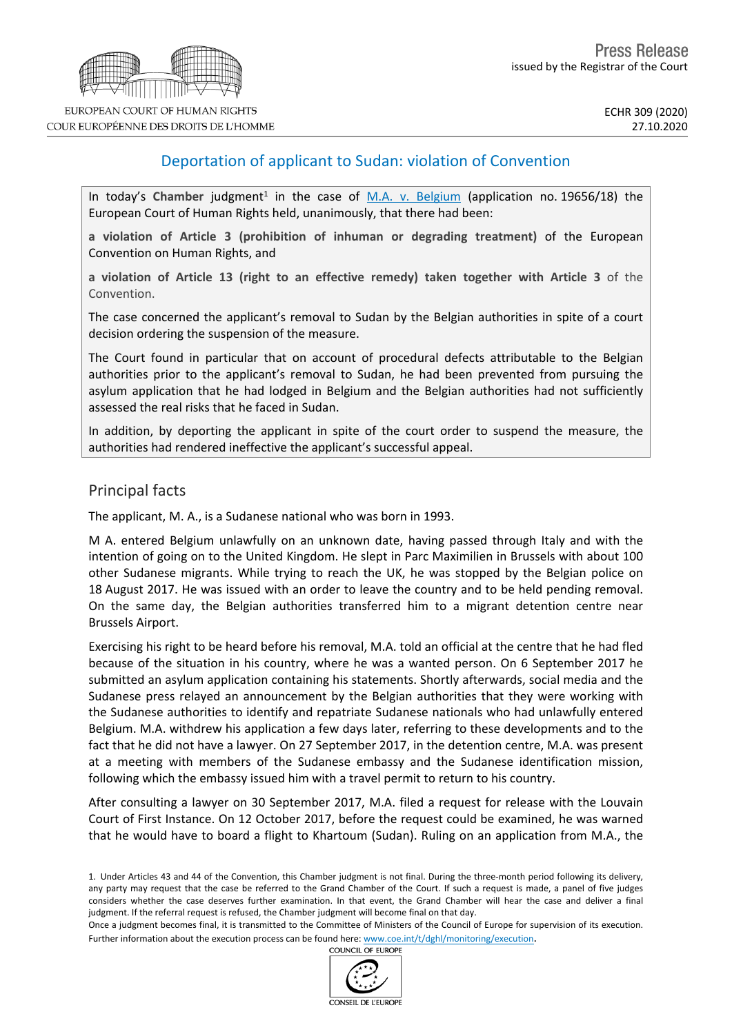

COUR EUROPÉENNE DES DROITS DE L'HOMME

# Deportation of applicant to Sudan: violation of Convention

In today's Chamber judgment<sup>1</sup> in the case of [M.A.](http://hudoc.echr.coe.int/eng?i=001-205377) v. [Belgium](http://hudoc.echr.coe.int/eng?i=001-205377) (application no. 19656/18) the European Court of Human Rights held, unanimously, that there had been:

**a violation of Article 3 (prohibition of inhuman or degrading treatment)** of the European Convention on Human Rights, and

**a violation of Article 13 (right to an effective remedy) taken together with Article 3** of the Convention.

The case concerned the applicant's removal to Sudan by the Belgian authorities in spite of a court decision ordering the suspension of the measure.

The Court found in particular that on account of procedural defects attributable to the Belgian authorities prior to the applicant's removal to Sudan, he had been prevented from pursuing the asylum application that he had lodged in Belgium and the Belgian authorities had not sufficiently assessed the real risks that he faced in Sudan.

In addition, by deporting the applicant in spite of the court order to suspend the measure, the authorities had rendered ineffective the applicant's successful appeal.

### Principal facts

The applicant, M. A., is a Sudanese national who was born in 1993.

M A. entered Belgium unlawfully on an unknown date, having passed through Italy and with the intention of going on to the United Kingdom. He slept in Parc Maximilien in Brussels with about 100 other Sudanese migrants. While trying to reach the UK, he was stopped by the Belgian police on 18 August 2017. He was issued with an order to leave the country and to be held pending removal. On the same day, the Belgian authorities transferred him to a migrant detention centre near Brussels Airport.

Exercising his right to be heard before his removal, M.A. told an official at the centre that he had fled because of the situation in his country, where he was a wanted person. On 6 September 2017 he submitted an asylum application containing his statements. Shortly afterwards, social media and the Sudanese press relayed an announcement by the Belgian authorities that they were working with the Sudanese authorities to identify and repatriate Sudanese nationals who had unlawfully entered Belgium. M.A. withdrew his application a few days later, referring to these developments and to the fact that he did not have a lawyer. On 27 September 2017, in the detention centre, M.A. was present at a meeting with members of the Sudanese embassy and the Sudanese identification mission, following which the embassy issued him with a travel permit to return to his country.

After consulting a lawyer on 30 September 2017, M.A. filed a request for release with the Louvain Court of First Instance. On 12 October 2017, before the request could be examined, he was warned that he would have to board a flight to Khartoum (Sudan). Ruling on an application from M.A., the



<sup>1.</sup> Under Articles 43 and 44 of the Convention, this Chamber judgment is not final. During the three-month period following its delivery, any party may request that the case be referred to the Grand Chamber of the Court. If such a request is made, a panel of five judges considers whether the case deserves further examination. In that event, the Grand Chamber will hear the case and deliver a final judgment. If the referral request is refused, the Chamber judgment will become final on that day.

Once a judgment becomes final, it is transmitted to the Committee of Ministers of the Council of Europe for supervision of its execution. Further information about the execution process can be found here: [www.coe.int/t/dghl/monitoring/execution](http://www.coe.int/t/dghl/monitoring/execution).<br>COUNCIL OF EUROPE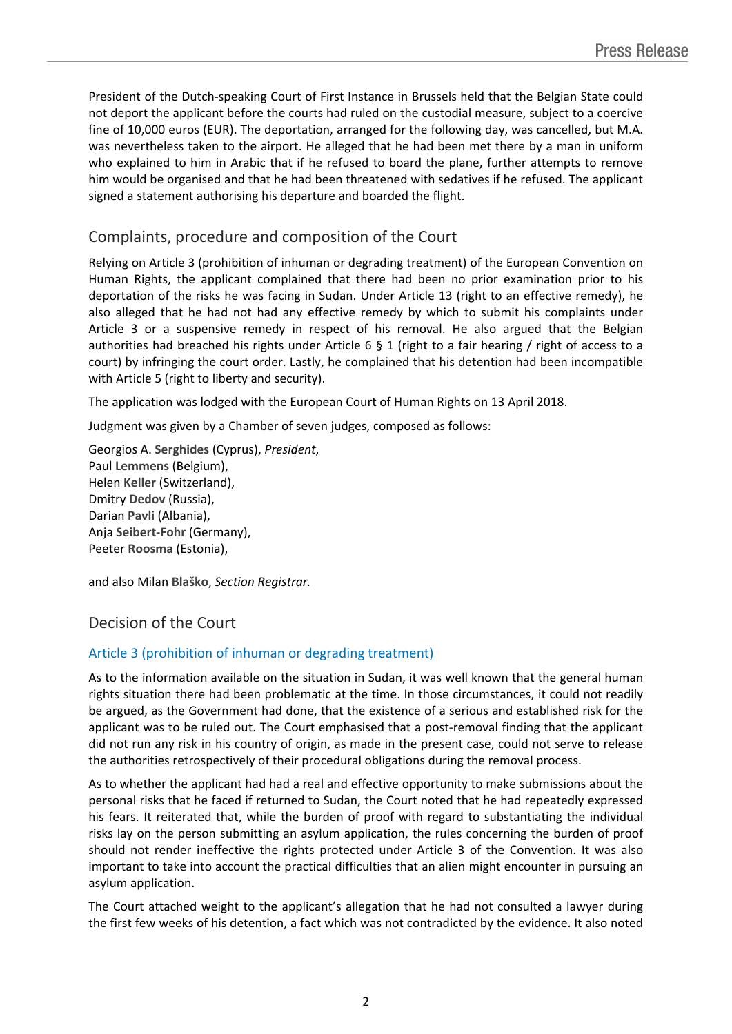President of the Dutch-speaking Court of First Instance in Brussels held that the Belgian State could not deport the applicant before the courts had ruled on the custodial measure, subject to a coercive fine of 10,000 euros (EUR). The deportation, arranged for the following day, was cancelled, but M.A. was nevertheless taken to the airport. He alleged that he had been met there by a man in uniform who explained to him in Arabic that if he refused to board the plane, further attempts to remove him would be organised and that he had been threatened with sedatives if he refused. The applicant signed a statement authorising his departure and boarded the flight.

## Complaints, procedure and composition of the Court

Relying on Article 3 (prohibition of inhuman or degrading treatment) of the European Convention on Human Rights, the applicant complained that there had been no prior examination prior to his deportation of the risks he was facing in Sudan. Under Article 13 (right to an effective remedy), he also alleged that he had not had any effective remedy by which to submit his complaints under Article 3 or a suspensive remedy in respect of his removal. He also argued that the Belgian authorities had breached his rights under Article 6 § 1 (right to a fair hearing / right of access to a court) by infringing the court order. Lastly, he complained that his detention had been incompatible with Article 5 (right to liberty and security).

The application was lodged with the European Court of Human Rights on 13 April 2018.

Judgment was given by a Chamber of seven judges, composed as follows:

Georgios A. **Serghides** (Cyprus), *President*, Paul **Lemmens** (Belgium), Helen **Keller** (Switzerland), Dmitry **Dedov** (Russia), Darian **Pavli** (Albania), Anja **Seibert-Fohr** (Germany), Peeter **Roosma** (Estonia),

and also Milan **Blaško**, *Section Registrar.*

## Decision of the Court

## Article 3 (prohibition of inhuman or degrading treatment)

As to the information available on the situation in Sudan, it was well known that the general human rights situation there had been problematic at the time. In those circumstances, it could not readily be argued, as the Government had done, that the existence of a serious and established risk for the applicant was to be ruled out. The Court emphasised that a post-removal finding that the applicant did not run any risk in his country of origin, as made in the present case, could not serve to release the authorities retrospectively of their procedural obligations during the removal process.

As to whether the applicant had had a real and effective opportunity to make submissions about the personal risks that he faced if returned to Sudan, the Court noted that he had repeatedly expressed his fears. It reiterated that, while the burden of proof with regard to substantiating the individual risks lay on the person submitting an asylum application, the rules concerning the burden of proof should not render ineffective the rights protected under Article 3 of the Convention. It was also important to take into account the practical difficulties that an alien might encounter in pursuing an asylum application.

The Court attached weight to the applicant's allegation that he had not consulted a lawyer during the first few weeks of his detention, a fact which was not contradicted by the evidence. It also noted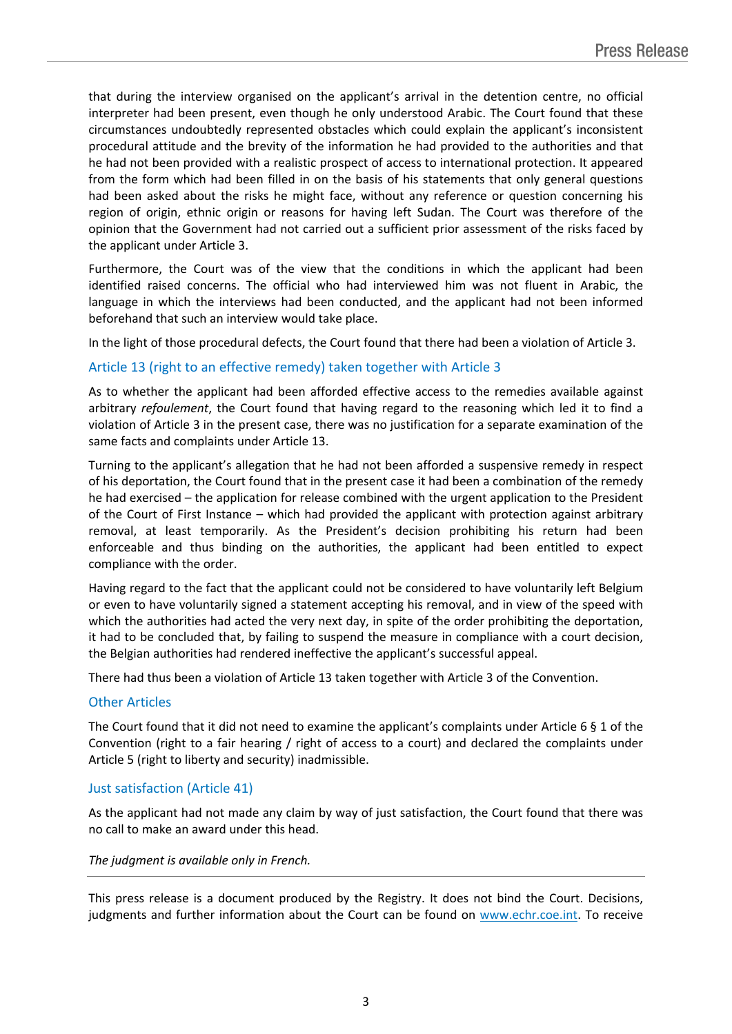that during the interview organised on the applicant's arrival in the detention centre, no official interpreter had been present, even though he only understood Arabic. The Court found that these circumstances undoubtedly represented obstacles which could explain the applicant's inconsistent procedural attitude and the brevity of the information he had provided to the authorities and that he had not been provided with a realistic prospect of access to international protection. It appeared from the form which had been filled in on the basis of his statements that only general questions had been asked about the risks he might face, without any reference or question concerning his region of origin, ethnic origin or reasons for having left Sudan. The Court was therefore of the opinion that the Government had not carried out a sufficient prior assessment of the risks faced by the applicant under Article 3.

Furthermore, the Court was of the view that the conditions in which the applicant had been identified raised concerns. The official who had interviewed him was not fluent in Arabic, the language in which the interviews had been conducted, and the applicant had not been informed beforehand that such an interview would take place.

In the light of those procedural defects, the Court found that there had been a violation of Article 3.

### Article 13 (right to an effective remedy) taken together with Article 3

As to whether the applicant had been afforded effective access to the remedies available against arbitrary *refoulement*, the Court found that having regard to the reasoning which led it to find a violation of Article 3 in the present case, there was no justification for a separate examination of the same facts and complaints under Article 13.

Turning to the applicant's allegation that he had not been afforded a suspensive remedy in respect of his deportation, the Court found that in the present case it had been a combination of the remedy he had exercised – the application for release combined with the urgent application to the President of the Court of First Instance – which had provided the applicant with protection against arbitrary removal, at least temporarily. As the President's decision prohibiting his return had been enforceable and thus binding on the authorities, the applicant had been entitled to expect compliance with the order.

Having regard to the fact that the applicant could not be considered to have voluntarily left Belgium or even to have voluntarily signed a statement accepting his removal, and in view of the speed with which the authorities had acted the very next day, in spite of the order prohibiting the deportation, it had to be concluded that, by failing to suspend the measure in compliance with a court decision, the Belgian authorities had rendered ineffective the applicant's successful appeal.

There had thus been a violation of Article 13 taken together with Article 3 of the Convention.

### Other Articles

The Court found that it did not need to examine the applicant's complaints under Article 6 § 1 of the Convention (right to a fair hearing / right of access to a court) and declared the complaints under Article 5 (right to liberty and security) inadmissible.

## Just satisfaction (Article 41)

As the applicant had not made any claim by way of just satisfaction, the Court found that there was no call to make an award under this head.

#### *The judgment is available only in French.*

This press release is a document produced by the Registry. It does not bind the Court. Decisions, judgments and further information about the Court can be found on [www.echr.coe.int](http://www.echr.coe.int/). To receive